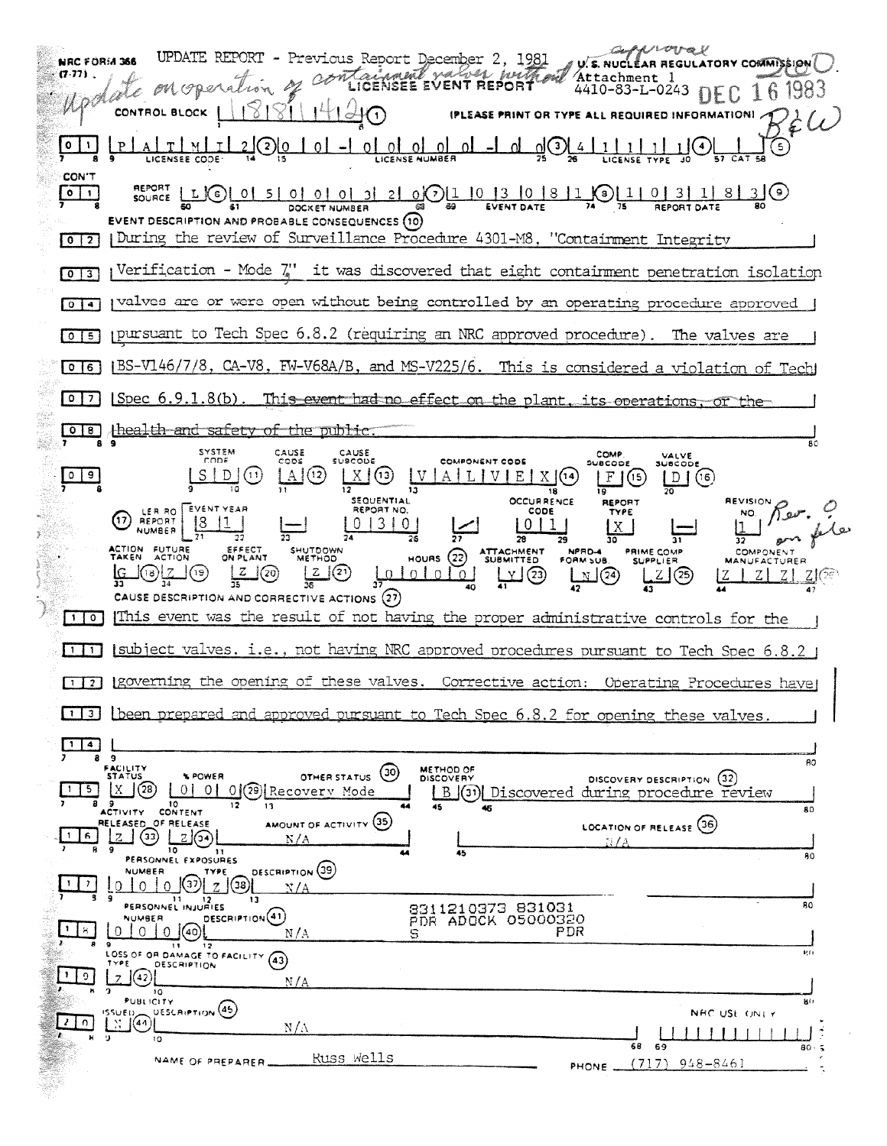U.S. NUCLEAR REGULATORY COMMISSION UPDATE REPORT - Previous Report December 2, 1981<br>on operation of containment values puttinual NRC FORM 366 **CT-771** Attachment 1 popale  $4410-83-L-0243$  DEC 16 1983 **IPLEASE PRINT OR TYPE ALL REQUIRED INFORMATION!**  $Bé\omega$ CONTROL BLOCK  $\overline{\mathsf{L}^{\circ}}$  $1(4)$  $\odot$ <u>\</u> **CON'T**  $LOU$ REPORT<br>SOURCE LI  $\frac{1}{75}$   $\frac{1101311830}{\frac{1}{25}}$  $\circ$  1 <u>0500001312101013101811</u> డ EVENT DATE DOCKET NUMBER EVENT DESCRIPTION AND PROBABLE CONSEQUENCES (10) | During the review of Surveillance Procedure 4301-M8, "Containment Integrity  $\sqrt{0}$  $\mu$ Verification - Mode  $\zeta$ " it was discovered that eight containment penetration isolation  $\sqrt{013}$ pulves are or were open without being controlled by an operating procedure approved  $\sqrt{0}$ ppursuant to Tech Spec 6.8.2 (requiring an NRC approved procedure). The valves are  $015$ IBS-V146/7/8, CA-V8, FW-V68A/B, and MS-V225/6. This is considered a violation of Tech  $\sqrt{0}$ Spec 6.9.1.8(b). This event had no effect on the plant, its operations, or the  $\sqrt{27}$ 0 8 thealth and safety of the public  $\overline{\mathbf{r}}\circ$ SYSTEM<br>CODE CAUSE COMP.<br>SUBCODE CAUSE<br>SUBCODE VALVE<br>SUBCODE  $cos$ COMPONENT CODE  $V A L V E X (4)$  $|F(G)|$  $\sqrt{9}$  $|S|D|(1)$  $A(3)$  $X(0)$  $D(G)$  $\overline{13}$  $\overline{\mathbf{16}}$  $\overline{10}$ REVISION SEQUENTIAL **OCCURRENCE REPORT** REPORT NO.  $\frac{10}{1}$  /  $\sqrt{2}$ LER RO<br>REPORT CODE TYPE ᠬ  $01310$  $\vert$ 1  $\begin{array}{c|c} 0 & 1 \\ \end{array}$ l x NUMBER  $\overline{27}$ 78 Ξī 30 HOURS (22) ATTACHMENT SHUTDOWN<br>METHOD **ACTION FUTURE**<br>TAKEN ACTION EFFECT<br>ON PLANT NPRD-4<br>FORM SUB. PRIME COMP **COMPONENT SUPPLIER MANUFACTURER**  $L \cup \odot$  $\frac{1010101}{10}$  $\frac{1}{2}$ <u>(z | O</u> ၂(၅)  $L/L(23)$  $\left[0, \right]$ <u>n (29</u> <u> Z (</u>ව  $|Z|Z|$  $Z/C\epsilon$ <u>IZ</u>  $\overline{35}$ CAUSE DESCRIPTION AND CORRECTIVE ACTIONS (27) [1] o] [This event was the result of not having the proper administrative controls for the  $[11]$  subject valves, i.e., not having NRC approved procedures pursuant to Tech Spec 6.8.2  $\pm$ [1] [3] [governing the opening of these valves. Corrective action: Operating Procedures have [1] [been prepared and approved pursuant to Tech Spec 6.8.2 for opening these valves 9 80 FACILITY<br>STATUS OTHER STATUS (30) METHOD OF **SPOWER** DISCOVERY DESCRIPTION (32) 0 0 0 0 2 Recovery Mode  $x$ <sup>3</sup>  $1 \mid 5 \mid$ B (31) Discovered during procedure review  $\overline{12}$ 13 80 ACTIVITY CONTENT AMOUNT OF ACTIVITY (35) OF RELEASE RELEASED LOCATION OF RELEASE (36)  $\frac{1}{2}$  3  $\frac{1}{2}$  3  $1 \, 8$  $N/A$ 10 11<br>PERSONNEL EXPOSURES  $30$ DESCRIPTION (39) NUMBER TYPE  $0 10 0 0 7796$  $\overline{z}$ 11 12<br>PERSONNEL INJURIES 8311210373 831031<br>PDR ADOCK 05000320 RO DESCRIPTION<sup>(41)</sup> NUMBER 0 0 0 0 40  $\lfloor 1 \rfloor$  is  $\lfloor$  $N/A$ PDR  $\overline{\mathbf{1}}$  $12$ LOSS OF OR DAMAGE TO FACILITY (43) ųń  $2(42)$  $\overline{1}$  $N/A$  $10$ **PUBLICITY** яò  $\begin{bmatrix} 155 \cup E_1 \\ 11 \end{bmatrix} \begin{bmatrix} 44 \\ 0 \end{bmatrix}$ **UESCRIPTION** (45) NRC USE ONEY  $210$  $N/\Lambda$  $\pm 1$   $\pm 1$   $\pm 1$ tΩ 68 69 80 Russ Wells NAME OF PREPARER.  $(717)$  948-8461 PHONE ...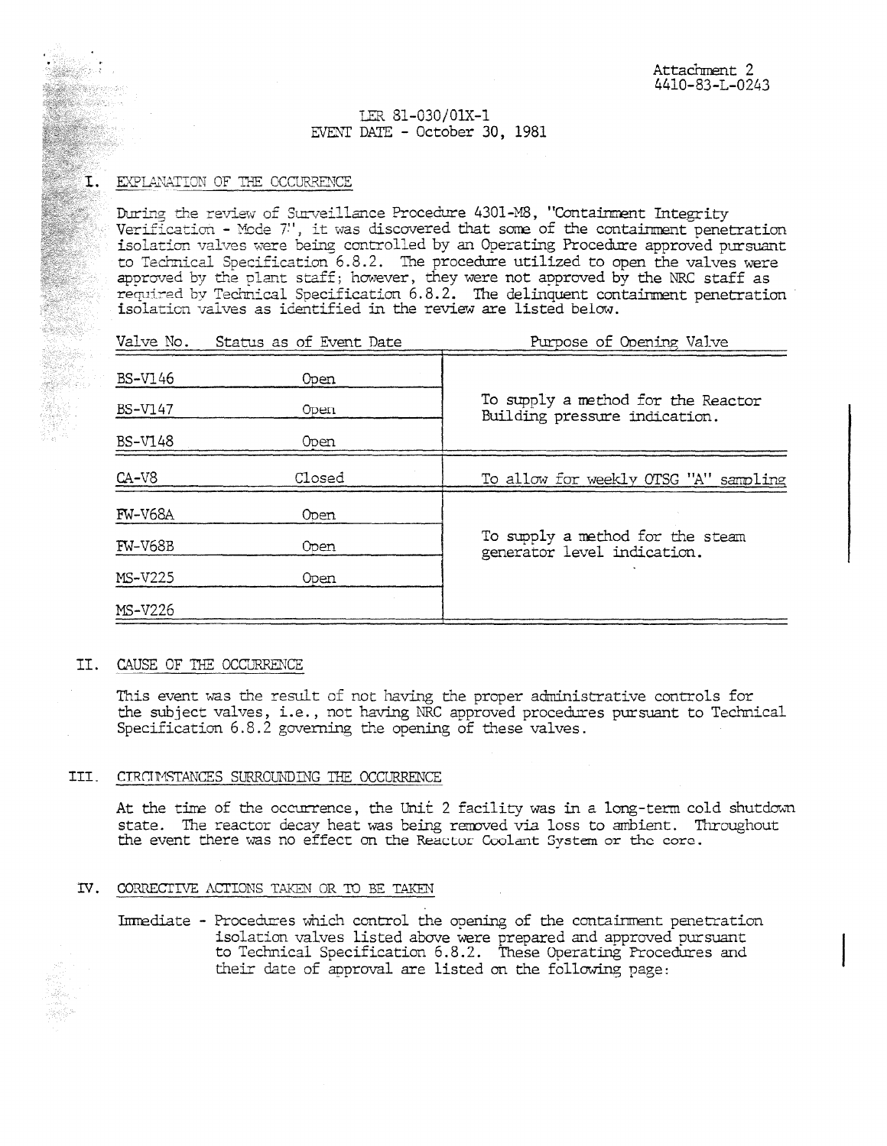## LER 81-030/0IX-1 EVENT DATE - October 30, 1981

## $I.$  EXPLANATION OF THE OCCURRENCE

**Maria** and Com

During the review of Surveillance Procedure 4301-M8, "Containment Integrity Verification – Mode 7", it was discovered that some of the containment penetration isolation valves were being controlled by an Operating Procedure approved pursuant to Technical Specification 6.8.2. The procedure utilized to open the valves were approved by the plant staff; however, they were not approved by the NRC staff as required by Technical Specification 6.8.2. The delinquent containment penetration isolation valves as identified in the review are listed below.

|                | Valve No. Status as of Event Date | Purpose of Opening Valve                                            |
|----------------|-----------------------------------|---------------------------------------------------------------------|
| <b>BS-V146</b> | Open                              | To supply a method for the Reactor<br>Building pressure indication. |
| BS-V147        | 0pen.                             |                                                                     |
| <b>BS-V148</b> | 0pen                              |                                                                     |
| $CA-V8$        | Closed                            | To allow for weekly OTSG "A" sampling                               |
| <b>FW-V68A</b> | 0 oen                             | To supply a method for the steam<br>generator level indication.     |
| <b>FW-V68B</b> | Open                              |                                                                     |
| <b>MS-V225</b> | <b>Open</b>                       |                                                                     |
| <b>MS-V226</b> |                                   |                                                                     |
|                |                                   |                                                                     |

#### II. CAUSE OF THE OCCURRENCE

This event was the result of not having the proper administrative controls for the subject valves, i.e., not having NRC approved procedures pursuant to Technical Specification 6.8.2 governing the opening of these valves.

#### III. CIRCUMSTANCES SURROUNDING THE OCCURRENCE

At the time of the occurrence, the Unit 2 facility was in a long-term cold shutdown state. The reactor decay heat was being removed via loss to ambient. Throughout the event there was no effect on the Reactor Coolant System or the core.

#### TV. CORRECTIVE: ACTIONS TAKEN OR TO BE TAKEN

Immediate - Procedures which control the opening of the containment penetration isolation valves listed above were prepared and approved pursuant to Technical Specification 6.8.2. These Operating Procedures and their date of approval are listed an the following page: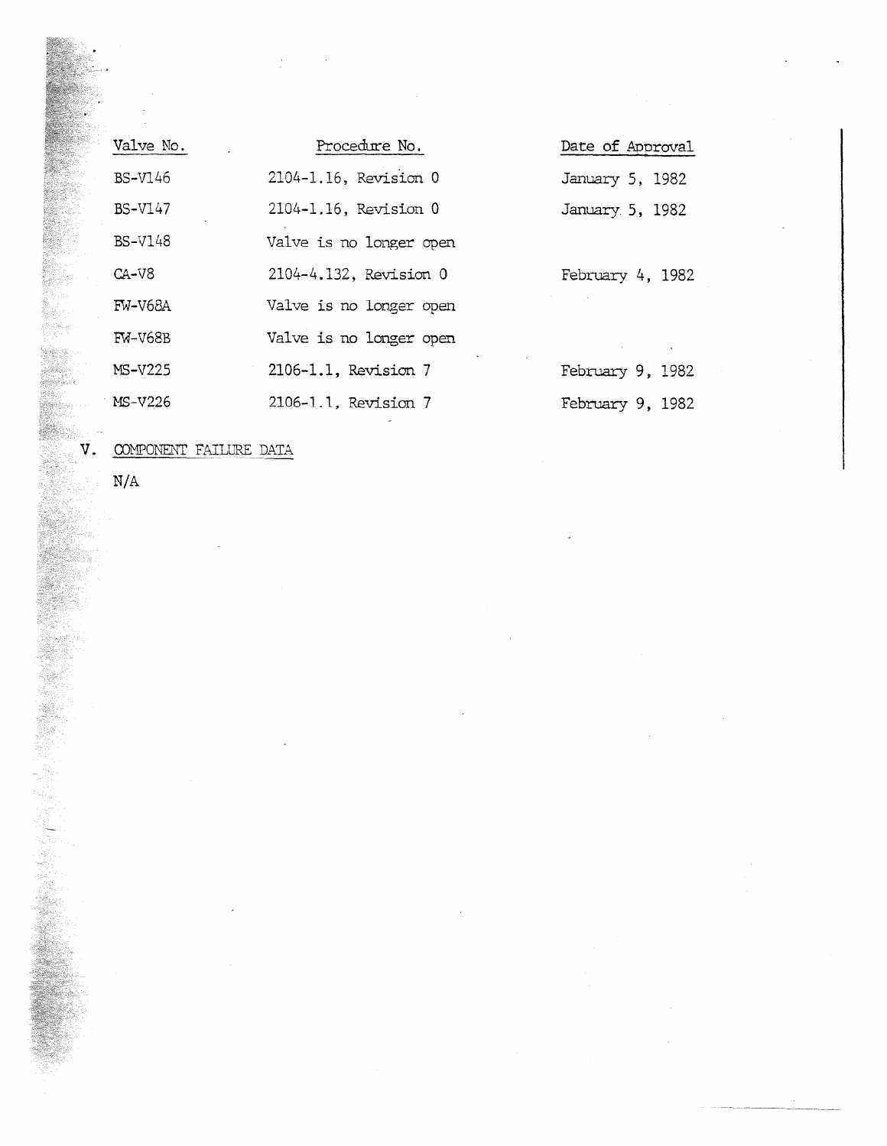| Valve No.      | Procedure No.           |
|----------------|-------------------------|
| <b>BS-V146</b> | 2104-1.16, Revision 0   |
| <b>BS-V147</b> | 2104-1.16, Revision 0   |
| <b>BS-V148</b> | Valve is no longer open |
| $CA-V8$        | 2104-4.132, Revision 0  |
| FW-V68A        | Valve is no longer open |
| <b>FM-V68B</b> | Valve is no longer open |
| MS-V225        | 2106-1.1, Revision 7    |
| MS-V226        | 2106-1.1, Revision 7    |

Date of Approval January 5, 1982 January 5, 1982

February 4, 1982

February 9, 1982 February 9, 1982

V. COMPONENT FAILURE DATA

N/A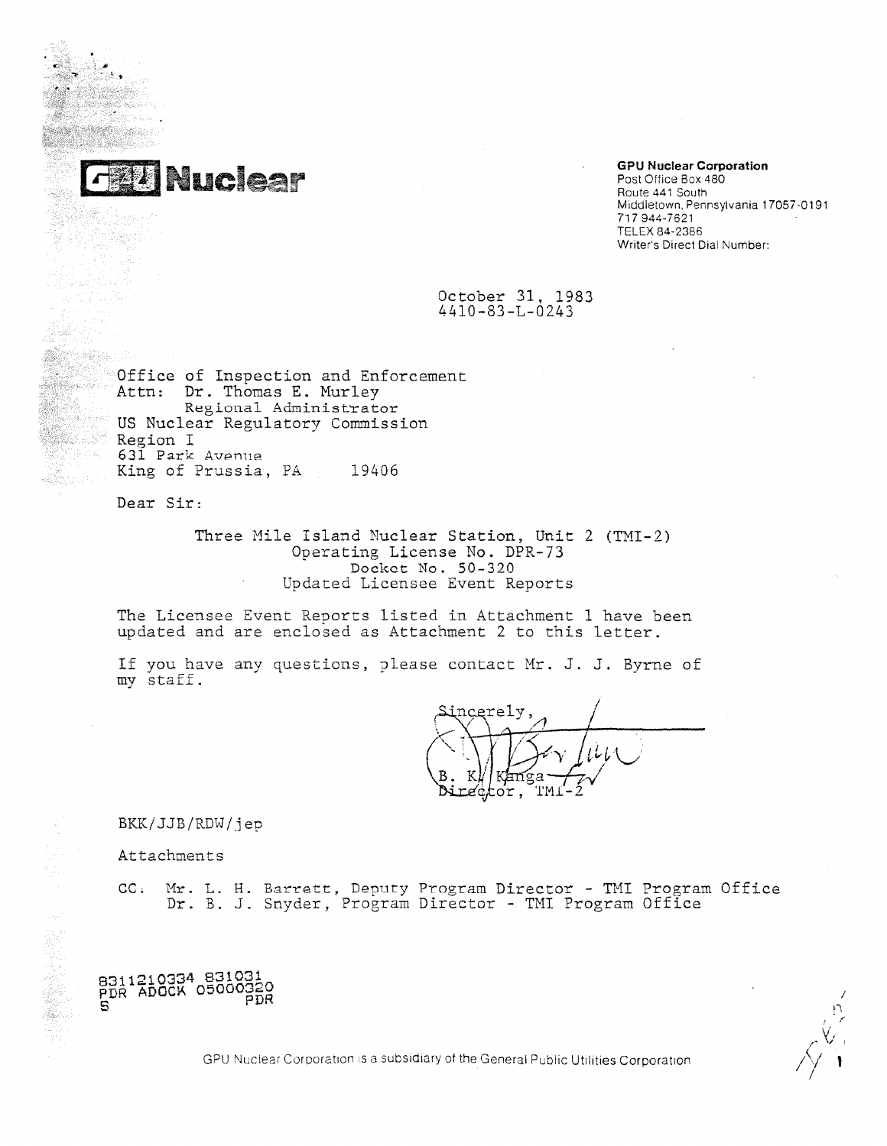

.

•

# **GPU Nuclear Corporation** Post Office Box 480 Route 441 South

Middletown, Pennsylvania 17057-0191 717 944-7621 TELEX 84-2386 Writer's Direct Dial Number:

October 31, 1983 4410-83-L-0243

Office of Inspection and Enforcement Attn: Dr. Thomas E. Murley Regional Administrator US Nuclear Regulatory Commission Region I 631 Park Avenue King of Prussia, PA 19406

Dear Sir:

Three Mile Island Nuclear Station, Unit 2 (TMI-2) Operating License No. DPR- 73 Docket No. 50 - 320 Updated Licensee Event Reports

The Licensee Event Reports listed in Attachment 1 have been updated and are enclosed as Attachment 2 to this letter.

If you have any questions, please contact Mr. J. J. Byrne of my staff.

ncerely r  $\sqrt{2}$  $1 - Y$  $\cdot \setminus$ l —  $\frac{\partial^2 Y}{\partial x^2}$  $\gamma$  *.tv*  $\cup$  . ы. . iredtor T M.1-2

BKK/JJB/RDW/jep

Attachments

CC. Mr. L. H. Barrett, Deputy Program Director - TMI Program Office Dr. B. J. Snyder, Program Director - TMI Program Office



PDR / n r

GPU Nuclear Corporation is a subsidiary of the General Public Utilities Corporation